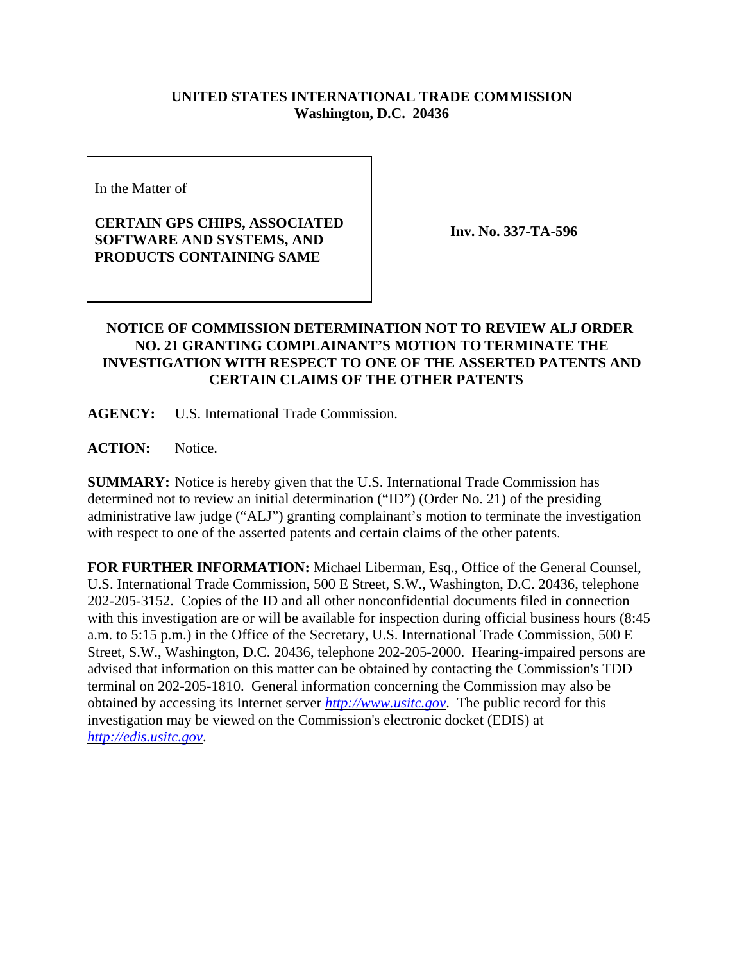## **UNITED STATES INTERNATIONAL TRADE COMMISSION Washington, D.C. 20436**

In the Matter of

## **CERTAIN GPS CHIPS, ASSOCIATED SOFTWARE AND SYSTEMS, AND PRODUCTS CONTAINING SAME**

**Inv. No. 337-TA-596**

## **NOTICE OF COMMISSION DETERMINATION NOT TO REVIEW ALJ ORDER NO. 21 GRANTING COMPLAINANT'S MOTION TO TERMINATE THE INVESTIGATION WITH RESPECT TO ONE OF THE ASSERTED PATENTS AND CERTAIN CLAIMS OF THE OTHER PATENTS**

**AGENCY:** U.S. International Trade Commission.

**ACTION:** Notice.

**SUMMARY:** Notice is hereby given that the U.S. International Trade Commission has determined not to review an initial determination ("ID") (Order No. 21) of the presiding administrative law judge ("ALJ") granting complainant's motion to terminate the investigation with respect to one of the asserted patents and certain claims of the other patents.

**FOR FURTHER INFORMATION:** Michael Liberman, Esq., Office of the General Counsel, U.S. International Trade Commission, 500 E Street, S.W., Washington, D.C. 20436, telephone 202-205-3152. Copies of the ID and all other nonconfidential documents filed in connection with this investigation are or will be available for inspection during official business hours (8:45) a.m. to 5:15 p.m.) in the Office of the Secretary, U.S. International Trade Commission, 500 E Street, S.W., Washington, D.C. 20436, telephone 202-205-2000. Hearing-impaired persons are advised that information on this matter can be obtained by contacting the Commission's TDD terminal on 202-205-1810. General information concerning the Commission may also be obtained by accessing its Internet server *http://www.usitc.gov*. The public record for this investigation may be viewed on the Commission's electronic docket (EDIS) at *http://edis.usitc.gov*.